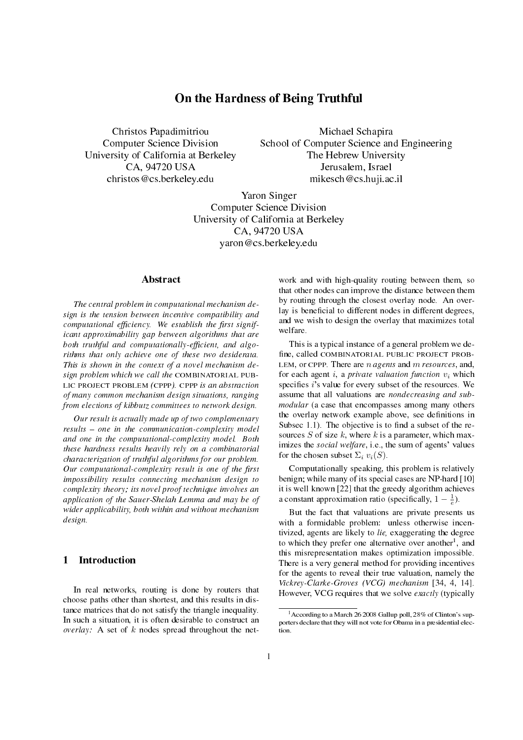# On the Hardness of Being Truthful

Christos Papadimitriou Computer Science Division University of California at Berkeley CA, 94720 USA christos@cs.berkeley.edu

Michael Schapira School of Computer Science and Engineering The Hebrew University Jerusalem, Israel mikesch@cs.huji.ac.il

Yaron Singer Computer Science Division University of California at Berkeley CA, 94720 USA yaron@cs.berkeley.edu

### **Abstract**

The central problem in computational mechanism design is the tension between incentive compatibility and computational efficiency. We establish the first significant approximability gap between algorithms that are both truthful and computationally-efficient, and algorithms that only achieve one of these two desiderata. This is shown in the context of a novel mechanism design problem which we call the COMBINATORIAL PUB-LIC PROJECT PROBLEM (CPPP). CPPP is an abstraction of many common mechanism design situations, ranging from elections of kibbutz committees to network design.

Our result is actually made up of two complementary  $results - one$  in the communication-complexity model and one in the computational-complexity model. Both these hardness results heavily rely on a combinatorial characterization of truthful algorithms for our problem. Our computational-complexity result is one of the first impossibility results connecting mechanism design to complexity theory; its novel proof technique involves an application of the Sauer-Shelah Lemma and may be of wider applicability, both within and without mechanism design.

# 1 Introduction

In real networks, routing is done by routers that choose paths other than shortest, and this results in distance matrices that do not satisfy the triangle inequality. In such a situation, it is often desirable to construct an overlay: A set of  $k$  nodes spread throughout the net-

work and with high-quality routing between them, so that other nodes can improve the distance between them by routing through the closest overlay node. An overlay is beneficial to different nodes in different degrees, and we wish to design the overlay that maximizes total welfare.

This is a typical instance of a general problem we de fine, called COMBINATORIAL PUBLIC PROJECT PROB-LEM, or CPPP. There are  $n$  agents and  $m$  resources, and, for each agent i, a private valuation function  $v_i$  which specifies  $i$ 's value for every subset of the resources. We assume that all valuations are nondecreasing and submodular (a case that encompasses among many others the overlay network example above, see definitions in Subsec  $1.1$ ). The objective is to find a subset of the resources S of size k, where k is a parameter, which maximizes the *social welfare*, i.e., the sum of agents' values for the chosen subset  $\Sigma_i v_i(S)$ .

Computationally speaking, this problem is relatively benign; while many of its special cases are NP-hard [10] it is well known [22] that the greedy algorithm achieves a constant approximation ratio (specifically,  $1 - \frac{1}{e}$ ).

But the fact that valuations are private presents us with a formidable problem: unless otherwise incentivized, agents are likely to lie, exaggerating the degree to which they prefer one alternative over another<sup>1</sup>, and this misrepresentation makes optimization impossible. There is a very general method for providing incentives for the agents to reveal their true valuation, namely the Vickrey-Clarke-Groves (VCG) mechanism [34, 4, 14]. However, VCG requires that we solve exactly (typically

 $1<sup>1</sup>$ According to a March 26 2008 Gallup poll, 28% of Clinton's supporters declare that they will not vote for Obama in a presidential election.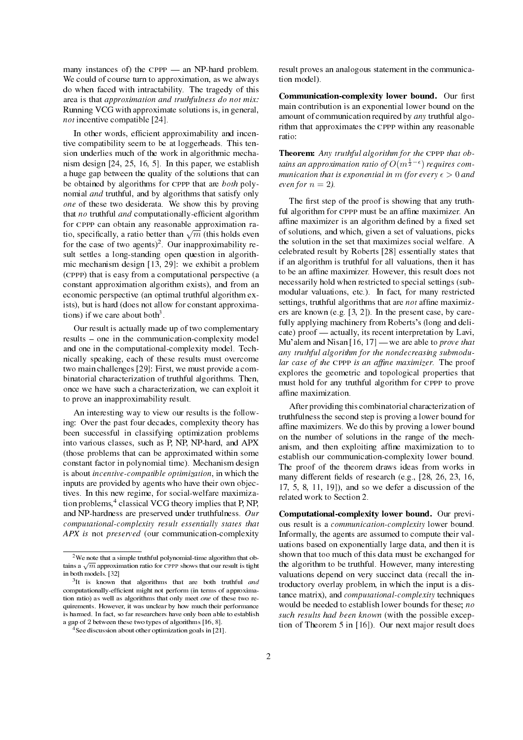many instances of) the  $CPPP$  — an NP-hard problem. We could of course turn to approximation, as we always do when faced with intractability. The tragedy of this area is that approximation and truthfulness do not mix: Running VCG with approximate solutions is, in general, not incentive compatible [24].

In other words, efficient approximability and incentive compatibility seem to be at loggerheads. This tension underlies much of the work in algorithmic mechanism design [24, 25, 16, 5]. In this paper, we establish a huge gap between the quality of the solutions that can be obtained by algorithms for CPPP that are both polynomial *and* truthful, and by algorithms that satisfy only one of these two desiderata. We show this by proving that no truthful and computationally-efficient algorithm for CPPP can obtain any reasonable approximation rafor CPPP can obtain any reasonable approximation ra-<br>tio, specifically, a ratio better than  $\sqrt{m}$  (this holds even for the case of two agents)<sup>2</sup>. Our inapproximability result settles a long-standing open question in algorithmic mechanism design [13, 29]: we exhibit a problem (CPPP) that is easy from a computational perspective (a constant approximation algorithm exists), and from an economic perspective (an optimal truthful algorithm exists), but is hard (does not allow for constant approximations) if we care about both<sup>3</sup>.

Our result is actually made up of two complementary results – one in the communication-complexity model and one in the computational-complexity model. Technically speaking, each of these results must overcome two main challenges [29]: First, we must provide a combinatorial characterization of truthful algorithms. Then, once we have such a characterization, we can exploit it to prove an inapproximability result.

An interesting way to view our results is the following: Over the past four decades, complexity theory has been successful in classifying optimization problems into various classes, such as P, NP, NP-hard, and APX (those problems that can be approximated within some constant factor in polynomial time). Mechanism design is about incentive-compatible optimization, in which the inputs are provided by agents who have their own objectives. In this new regime, for social-welfare maximization problems,<sup>4</sup> classical VCG theory implies that P, NP, and NP-hardness are preserved under truthfulness. Our computational-complexity result essentially states that APX is not preserved (our communication-complexity result proves an analogous statement in the communication model).

Communication-complexity lower bound. Our first main contribution is an exponential lower bound on the amount of communication required by any truthful algorithm that approximates the CPPP within any reasonable ratio:

Theorem: Any truthful algorithm for the CPPP that obtains an approximation ratio of  $O(m^{\frac{1}{2}-\epsilon})$  requires communication that is exponential in m (for every  $\epsilon > 0$  and even for  $n = 2$ ).

The first step of the proof is showing that any truthful algorithm for CPPP must be an affine maximizer. An affine maximizer is an algorithm defined by a fixed set of solutions, and which, given a set of valuations, picks the solution in the set that maximizes social welfare. A celebrated result by Roberts [28] essentially states that if an algorithm is truthful for all valuations, then it has to be an affine maximizer. However, this result does not necessarily hold when restricted to special settings (submodular valuations, etc.). In fact, for many restricted settings, truthful algorithms that are *not* affine maximizers are known (e.g. [3, 2]). In the present case, by carefully applying machinery from Roberts's (long and deli- $\alpha$  cate) proof — actually, its recent interpretation by Lavi, Mu'alem and Nisan  $[16, 17]$  we are able to *prove that* any truthful algorithm for the nondecreasing submodular case of the CPPP is an affine maximizer. The proof explores the geometric and topological properties that must hold for any truthful algorithm for CPPP to prove affine maximization.

After providing this combinatorial characterization of truthfulness the second step is proving a lower bound for affine maximizers. We do this by proving a lower bound on the number of solutions in the range of the mechanism, and then exploiting affine maximization to to establish our communication-complexity lower bound. The proof of the theorem draws ideas from works in many different fields of research (e.g., [28, 26, 23, 16, 17, 5, 8, 11, 19]), and so we defer a discussion of the related work to Section 2.

Computational-complexity lower bound. Our previous result is a communication-complexity lower bound. Informally, the agents are assumed to compute their valuations based on exponentially large data, and then it is shown that too much of this data must be exchanged for the algorithm to be truthful. However, many interesting valuations depend on very succinct data (recall the introductory overlay problem, in which the input is a distance matrix), and computational-complexity techniques would be needed to establish lower bounds for these; no such results had been known (with the possible exception of Theorem 5 in [16]). Our next major result does

<sup>&</sup>lt;sup>2</sup>We note that a simple truthful polynomial-time algorithm that ob- $\sim$  we note that a simple truthful polynomial-time algorithm that ob-<br>tains a  $\sqrt{m}$  approximation ratio for CPPP shows that our result is tight in both models. [32]

 $3$ It is known that algorithms that are both truthful and computationally-efficient might not perform (in terms of approximation ratio) as well as algorithms that only meet one of these two requirements. However, it was unclear by how much their performance is harmed. In fact, so far researchers have only been able to establish a gap of 2 between these two types of algorithms [16, 8].

<sup>&</sup>lt;sup>4</sup>See discussion about other optimization goals in [21].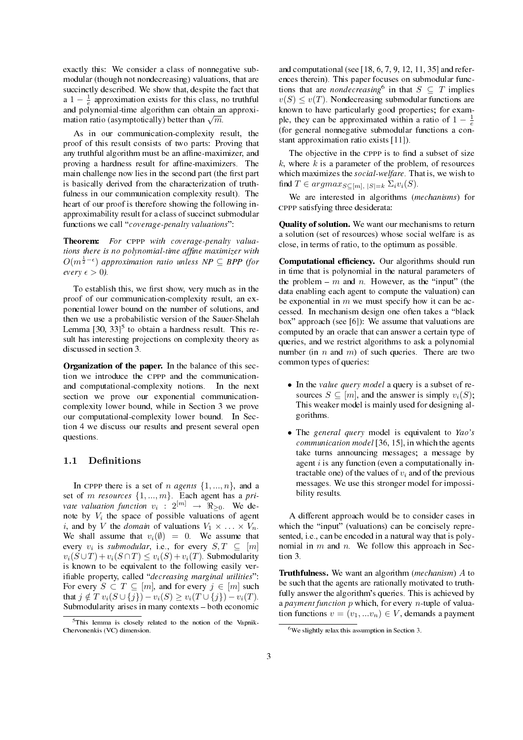exactly this: We consider a class of nonnegative submodular (though not nondecreasing) valuations, that are succinctly described. We show that, despite the fact that a  $1 - \frac{1}{e}$  approximation exists for this class, no truthful and polynomial-time algorithm can obtain an approxiand polynomial-time algorithm can obtain an<br>mation ratio (asymptotically) better than  $\sqrt{m}$ .

As in our communication-complexity result, the proof of this result consists of two parts: Proving that any truthful algorithm must be an affine-maximizer, and proving a hardness result for affine-maximizers. The main challenge now lies in the second part (the first part is basically derived from the characterization of truthfulness in our communication complexity result). The heart of our proof is therefore showing the following inapproximability result for a class of succinct submodular functions we call "*coverage-penalty valuations*".

Theorem: For CPPP with coverage-penalty valuations there is no polynomial-time affine maximizer with  $O(m^{\frac{1}{2}-\epsilon})$  approximation ratio unless NP  $\subseteq$  BPP (for every  $\epsilon > 0$ ).

To establish this, we first show, very much as in the proof of our communication-complexity result, an exponential lower bound on the number of solutions, and then we use a probabilistic version of the Sauer-Shelah Lemma  $[30, 33]$ <sup>5</sup> to obtain a hardness result. This result has interesting projections on complexity theory as discussed in section 3.

Organization of the paper. In the balance of this section we introduce the CPPP and the communicationand computational-complexity notions. In the next section we prove our exponential communicationcomplexity lower bound, while in Section 3 we prove our computational-complexity lower bound. In Section 4 we discuss our results and present several open questions.

### 1.1 Definitions

In CPPP there is a set of *n* agents  $\{1, ..., n\}$ , and a set of m resources  $\{1, ..., m\}$ . Each agent has a private valuation function  $v_i$  :  $2^{[m]} \rightarrow \Re_{\geq 0}$ . We denote by  $V_i$  the space of possible valuations of agent *i*, and by *V* the *domain* of valuations  $V_1 \times \ldots \times V_n$ . We shall assume that  $v_i(\emptyset) = 0$ . We assume that every  $v_i$  is submodular, i.e., for every  $S, T \subseteq [m]$  $v_i(S \cup T) + v_i(S \cap T) \leq v_i(S) + v_i(T)$ . Submodularity is known to be equivalent to the following easily verifiable property, called "decreasing marginal utilities": For every  $S \subset T \subseteq [m]$ , and for every  $j \in [m]$  such that  $j \notin T$   $v_i(S \cup \{j\}) - v_i(S) \ge v_i(T \cup \{j\}) - v_i(T)$ . Submodularity arises in many contexts  $-$  both economic

and computational (see  $[18, 6, 7, 9, 12, 11, 35]$  and references therein). This paper focuses on submodular functions that are *nondecreasing*<sup>6</sup> in that  $S \subseteq T$  implies  $v(S) \le v(T)$ . Nondecreasing submodular functions are known to have particularly good properties; for example, they can be approximated within a ratio of  $1 - \frac{1}{e}$ (for general nonnegative submodular functions a constant approximation ratio exists [11]).

The objective in the CPPP is to find a subset of size  $k$ , where  $k$  is a parameter of the problem, of resources which maximizes the social-welfare. That is, we wish to find  $T \in argmax_{S \subseteq [m], |S| = k} \Sigma_i v_i(S)$ .

We are interested in algorithms (mechanisms) for CPPP satisfying three desiderata:

Quality of solution. We want our mechanisms to return a solution (set of resources) whose social welfare is as close, in terms of ratio, to the optimum as possible.

Computational efficiency. Our algorithms should run in time that is polynomial in the natural parameters of the problem  $-m$  and n. However, as the "input" (the data enabling each agent to compute the valuation) can be exponential in  $m$  we must specify how it can be accessed. In mechanism design one often takes a "black box" approach (see  $[6]$ ): We assume that valuations are computed by an oracle that can answer a certain type of queries, and we restrict algorithms to ask a polynomial number (in n and m) of such queries. There are two common types of queries:

- In the *value query model* a query is a subset of resources  $S \subseteq [m]$ , and the answer is simply  $v_i(S)$ ; This weaker model is mainly used for designing algorithms.
- The general query model is equivalent to Yao's communication model [36, 15], in which the agents take turns announcing messages; a message by agent  $i$  is any function (even a computationally intractable one) of the values of  $v_i$  and of the previous messages. We use this stronger model for impossibility results.

A different approach would be to consider cases in which the "input" (valuations) can be concisely represented, i.e., can be encoded in a natural way that is polynomial in  $m$  and  $n$ . We follow this approach in Section 3.

Truthfulness. We want an algorithm (mechanism) A to be such that the agents are rationally motivated to truthfully answer the algorithm's queries. This is achieved by a payment function  $p$  which, for every  $n$ -tuple of valuation functions  $v = (v_1, ... v_n) \in V$ , demands a payment

<sup>&</sup>lt;sup>5</sup>This lemma is closely related to the notion of the Vapnik-Chervonenkis (VC) dimension.

<sup>6</sup>We slightly relax this assumption in Section 3.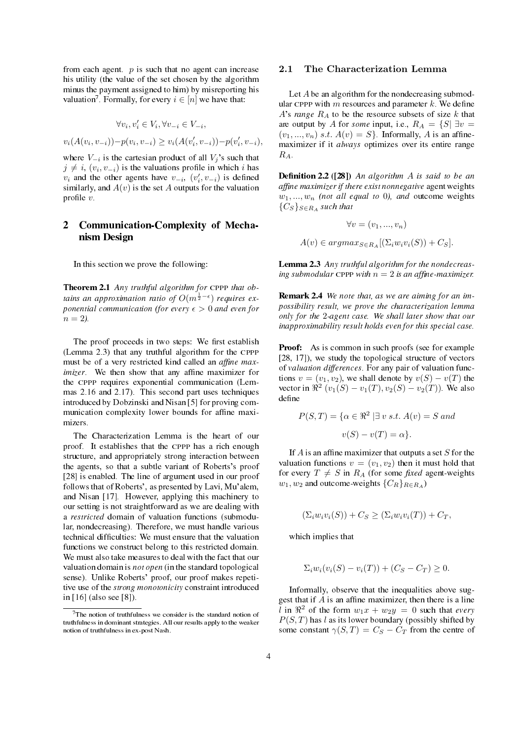from each agent.  $p$  is such that no agent can increase his utility (the value of the set chosen by the algorithm minus the payment assigned to him) by misreporting his valuation<sup>7</sup>. Formally, for every  $i \in [n]$  we have that:

$$
\forall v_i, v'_i \in V_i, \forall v_{-i} \in V_{-i},
$$

 $v_i(A(v_i, v_{-i})) - p(v_i, v_{-i}) \ge v_i(A(v'_i, v_{-i})) - p(v'_i, v_{-i}),$ 

where  $V_{-i}$  is the cartesian product of all  $V_j$ 's such that  $j \neq i$ ,  $(v_i, v_{-i})$  is the valuations profile in which i has  $v_i$  and the other agents have  $v_{-i}$ ,  $(v'_i, v_{-i})$  is defined similarly, and  $A(v)$  is the set A outputs for the valuation profile  $v$ .

# 2 Communication-Complexity of Mechanism Design

In this section we prove the following:

Theorem 2.1 Any truthful algorithm for CPPP that obtains an approximation ratio of  $O(m^{\frac{1}{2}-\epsilon})$  requires exponential communication (for every  $\epsilon > 0$  and even for  $n = 2$ ).

The proof proceeds in two steps: We first establish (Lemma 2.3) that any truthful algorithm for the CPPP must be of a very restricted kind called an *affine maximizer*. We then show that any affine maximizer for the CPPP requires exponential communication (Lemmas 2.16 and 2.17). This second part uses techniques introduced by Dobzinski and Nisan [5] for proving communication complexity lower bounds for affine maximizers.

The Characterization Lemma is the heart of our proof. It establishes that the CPPP has a rich enough structure, and appropriately strong interaction between the agents, so that a subtle variant of Roberts's proof [28] is enabled. The line of argument used in our proof follows that of Roberts', as presented by Lavi, Mu'alem, and Nisan [17]. However, applying this machinery to our setting is not straightforward as we are dealing with a restricted domain of valuation functions (submodular, nondecreasing). Therefore, we must handle various technical difficulties: We must ensure that the valuation functions we construct belong to this restricted domain. We must also take measures to deal with the fact that our valuation domain is not open (in the standard topological sense). Unlike Roberts' proof, our proof makes repetitive use of the *strong monotonicity* constraint introduced in [16] (also see [8]).

#### 2.1 The Characterization Lemma

Let A be an algorithm for the nondecreasing submodular CPPP with  $m$  resources and parameter  $k$ . We define A's range  $R_A$  to be the resource subsets of size k that are output by A for some input, i.e.,  $R_A = \{S | \exists v =$  $(v_1, ..., v_n)$  s.t.  $A(v) = S$ . Informally, A is an affinemaximizer if it *always* optimizes over its entire range  $R_A$ .

**Definition 2.2** ([28]) An algorithm  $A$  is said to be an affine maximizer if there exist nonnegative agent weights  $w_1, ..., w_n$  (not all equal to 0), and outcome weights  ${C_S}_{S \in R_A}$  such that

$$
\forall v = (v_1, ..., v_n)
$$

 $A(v) \in argmax_{S \in R_A} [(\Sigma_i w_i v_i(S)) + C_S].$ 

Lemma 2.3 Any truthful algorithm for the nondecreasing submodular CPPP with  $n = 2$  is an affine-maximizer.

Remark 2.4 We note that, as we are aiming for an impossibility result, we prove the characterization lemma only for the 2-agent case. We shall later show that our inapproximability result holds even for this special case.

**Proof:** As is common in such proofs (see for example [28, 17]), we study the topological structure of vectors of valuation differences. For any pair of valuation functions  $v = (v_1, v_2)$ , we shall denote by  $v(S) - v(T)$  the vector in  $\Re^2 (v_1(S) - v_1(T), v_2(S) - v_2(T))$ . We also define

$$
P(S,T) = \{ \alpha \in \mathbb{R}^2 \mid \exists v \ s.t. \ A(v) = S \ and
$$

$$
v(S) - v(T) = \alpha \}.
$$

If  $A$  is an affine maximizer that outputs a set  $S$  for the valuation functions  $v = (v_1, v_2)$  then it must hold that for every  $T \neq S$  in  $R_A$  (for some fixed agent-weights  $w_1, w_2$  and outcome-weights  $\{C_R\}_{R\in R_A}$ )

$$
(\Sigma_i w_i v_i(S)) + C_S \ge (\Sigma_i w_i v_i(T)) + C_T,
$$

which implies that

$$
\Sigma_i w_i (v_i(S) - v_i(T)) + (C_S - C_T) \ge 0.
$$

Informally, observe that the inequalities above suggest that if  $A$  is an affine maximizer, then there is a line l in  $\mathbb{R}^2$  of the form  $w_1x + w_2y = 0$  such that every  $P(S, T)$  has l as its lower boundary (possibly shifted by some constant  $\gamma(S,T) = C_S - C_T$  from the centre of

 $7$ The notion of truthfulness we consider is the standard notion of truthfulness in dominant strategies. All our results apply to the weaker notion of truthfulness in ex-post Nash.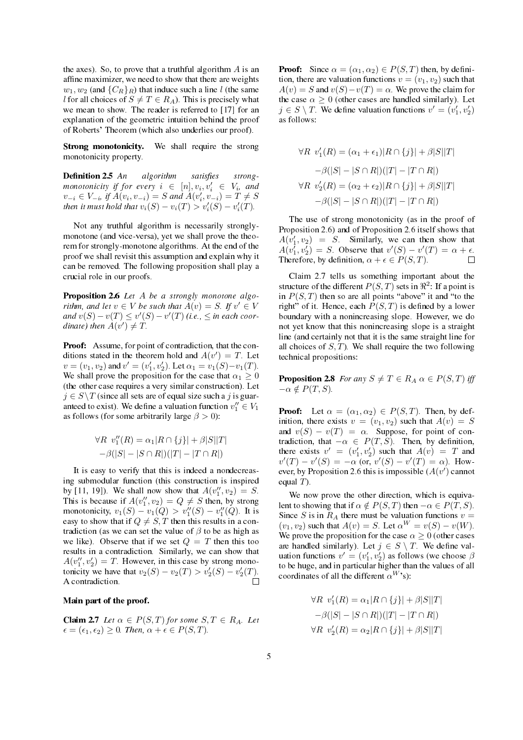the axes). So, to prove that a truthful algorithm  $\vec{A}$  is an affine maximizer, we need to show that there are weights  $w_1, w_2$  (and  $\{C_R\}_R$ ) that induce such a line l (the same l for all choices of  $S \neq T \in R_A$ ). This is precisely what we mean to show. The reader is referred to [17] for an explanation of the geometric intuition behind the proof of Roberts' Theorem (which also underlies our proof).

Strong monotonicity. We shall require the strong monotonicity property.

**Definition 2.5** An algorithm satisfi satisfies strongmonotonicity if for every  $i \in [n], v_i, v'_i \in V_i$ , and  $v_{-i} \in V_{-i}$ , if  $A(v_i, v_{-i}) = S$  and  $A(v'_i, v_{-i}) = T \neq S$ then it must hold that  $v_i(S) - v_i(T) > v'_i(S) - v'_i(T)$ .

Not any truthful algorithm is necessarily stronglymonotone (and vice-versa), yet we shall prove the theorem for strongly-monotone algorithms. At the end of the proof we shall revisit this assumption and explain why it can be removed. The following proposition shall play a crucial role in our proofs.

Proposition 2.6 Let A be a strongly monotone algorithm, and let  $v \in V$  be such that  $\overline{A}(v) = S$ . If  $v' \in V$ and  $v(S) - v(T) \le v'(S) - v'(T)$  (i.e.,  $\le$  in each coordinate) then  $A(v') \neq T$ .

Proof: Assume, for point of contradiction, that the conditions stated in the theorem hold and  $A(v') = T$ . Let  $v = (v_1, v_2)$  and  $v' = (v'_1, v'_2)$ . Let  $\alpha_1 = v_1(S) - v_1(T)$ . We shall prove the proposition for the case that  $\alpha_1 \geq 0$ (the other case requires a very similar construction). Let  $j \in S \backslash T$  (since all sets are of equal size such a j is guaranteed to exist). We define a valuation function  $v''_1 \in V_1$ as follows (for some arbitrarily large  $\beta > 0$ ):

$$
\forall R \ v_1''(R) = \alpha_1 |R \cap \{j\}| + \beta |S||T|
$$
  
-
$$
\beta(|S| - |S \cap R|)(|T| - |T \cap R|)
$$

It is easy to verify that this is indeed a nondecreasing submodular function (this construction is inspired by [11, 19]). We shall now show that  $A(v''_1, v_2) = S$ . This is because if  $A(v''_1, v_2) = Q \neq S$  then, by strong monotonicity,  $v_1(S) - v_1(Q) > v''_1(S) - v''_1(Q)$ . It is easy to show that if  $Q \neq S$ , T then this results in a contradiction (as we can set the value of  $\beta$  to be as high as we like). Observe that if we set  $Q = T$  then this too results in a contradiction. Similarly, we can show that  $A(v''_1, v'_2) = T$ . However, in this case by strong monotonicity we have that  $v_2(S) - v_2(T) > v_2'(S) - v_2'(T)$ . A contradiction.  $\Box$ 

#### Main part of the proof.

**Claim 2.7** Let  $\alpha \in P(S,T)$  for some  $S,T \in R_A$ . Let  $\epsilon = (\epsilon_1, \epsilon_2) \geq 0$ . Then,  $\alpha + \epsilon \in P(S, T)$ .

**Proof:** Since  $\alpha = (\alpha_1, \alpha_2) \in P(S, T)$  then, by definition, there are valuation functions  $v = (v_1, v_2)$  such that  $A(v) = S$  and  $v(S) - v(T) = \alpha$ . We prove the claim for the case  $\alpha \geq 0$  (other cases are handled similarly). Let  $j \in S \setminus T$ . We define valuation functions  $v' = (v'_1, v'_2)$ as follows:

$$
\forall R \ v_1'(R) = (\alpha_1 + \epsilon_1)|R \cap \{j\}| + \beta|S||T|
$$

$$
-\beta(|S| - |S \cap R|)(|T| - |T \cap R|)
$$

$$
\forall R \ v_2'(R) = (\alpha_2 + \epsilon_2)|R \cap \{j\}| + \beta|S||T|
$$

$$
-\beta(|S| - |S \cap R|)(|T| - |T \cap R|)
$$

The use of strong monotonicity (as in the proof of Proposition 2.6) and of Proposition 2.6 itself shows that  $A(v'_1, v_2) = S$ . Similarly, we can then show that  $A(v_1, v_2') = S$ . Observe that  $v'(S) - v'(T) = \alpha + \epsilon$ .  $\Box$ Therefore, by definition,  $\alpha + \epsilon \in P(S, T)$ .

Claim 2.7 tells us something important about the structure of the different  $P(S, T)$  sets in  $\Re^2$ : If a point is in  $P(S, T)$  then so are all points "above" it and "to the right" of it. Hence, each  $P(S,T)$  is defined by a lower boundary with a nonincreasing slope. However, we do not yet know that this nonincreasing slope is a straight line (and certainly not that it is the same straight line for all choices of  $S$ , T). We shall require the two following technical propositions:

**Proposition 2.8** For any  $S \neq T \in R_A$   $\alpha \in P(S, T)$  iff  $-\alpha \notin P(T, S).$ 

**Proof:** Let  $\alpha = (\alpha_1, \alpha_2) \in P(S,T)$ . Then, by definition, there exists  $v = (v_1, v_2)$  such that  $A(v) = S$ and  $v(S) - v(T) = \alpha$ . Suppose, for point of contradiction, that  $-\alpha \in P(T, S)$ . Then, by definition, there exists  $v' = (v'_1, v'_2)$  such that  $A(v) = T$  and  $v'(T) - v'(S) = -\alpha \overline{(or, v'(S) - v'(T)} = \alpha)$ . However, by Proposition 2.6 this is impossible  $(A(v')$  cannot equal  $T$ ).

We now prove the other direction, which is equivalent to showing that if  $\alpha \notin P(S, T)$  then  $-\alpha \in P(T, S)$ . Since S is in  $R_A$  there must be valuation functions  $v =$  $(v_1, v_2)$  such that  $A(v) = S$ . Let  $\alpha^W = v(S) - v(W)$ . We prove the proposition for the case  $\alpha > 0$  (other cases are handled similarly). Let  $j \in S \setminus T$ . We define valuation functions  $v' = (v'_1, v'_2)$  as follows (we choose  $\beta$ to be huge, and in particular higher than the values of all coordinates of all the different  $\alpha^{W}$ 's):

$$
\forall R \ v_1'(R) = \alpha_1 |R \cap \{j\}| + \beta |S||T|
$$

$$
-\beta(|S| - |S \cap R|)(|T| - |T \cap R|)
$$

$$
\forall R \ v_2'(R) = \alpha_2 |R \cap \{j\}| + \beta |S||T|
$$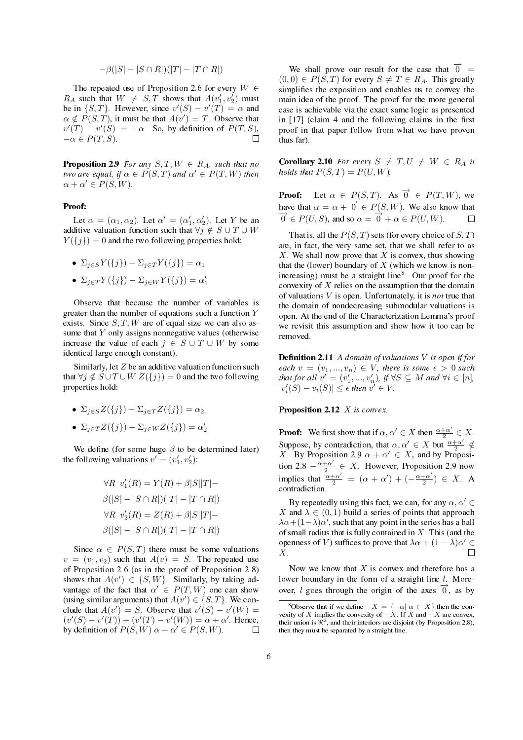$$
-\beta(|S| - |S \cap R|)(|T| - |T \cap R|)
$$

The repeated use of Proposition 2.6 for every  $W \in$  $R_A$  such that  $W \neq S, T$  shows that  $A(v'_1, v'_2)$  must be in  $\{S, T\}$ . However, since  $v'(S) - v'(T) = \alpha$  and  $\alpha \notin P(S, T)$ , it must be that  $A(v') = T$ . Observe that  $v'(T) - v'(S) = -\alpha$ . So, by definition of  $P(T, S)$ ,  $-\alpha \in P(T, S)$ .

**Proposition 2.9** For any  $S, T, W \in R_A$ , such that no two are equal, if  $\alpha \in P(S,T)$  and  $\alpha' \in P(T,W)$  then  $\alpha + \alpha' \in P(S, W).$ 

#### Proof:

Let  $\alpha = (\alpha_1, \alpha_2)$ . Let  $\alpha' = (\alpha'_1, \alpha'_2)$ . Let Y be an additive valuation function such that  $\forall j \notin S \cup T \cup W$  $Y(\lbrace j \rbrace) = 0$  and the two following properties hold:

• 
$$
\Sigma_{j \in S} Y(\{j\}) - \Sigma_{j \in T} Y(\{j\}) = \alpha_1
$$

• 
$$
\Sigma_{j \in T} Y(\{j\}) - \Sigma_{j \in W} Y(\{j\}) = \alpha_1'
$$

Observe that because the number of variables is greater than the number of equations such a function  $Y$ exists. Since  $S, T, W$  are of equal size we can also assume that  $Y$  only assigns nonnegative values (otherwise increase the value of each  $j \in S \cup T \cup W$  by some identical large enough constant).

Similarly, let  $Z$  be an additive valuation function such that  $\forall j \notin S \cup T \cup W Z({j}) = 0$  and the two following properties hold:

• 
$$
\Sigma_{j\in S}Z(\{j\}) - \Sigma_{j\in T}Z(\{j\}) = \alpha_2
$$

•  $\Sigma_{j \in T} Z(\{j\}) - \Sigma_{j \in W} Z(\{j\}) = \alpha_2'$ 

We define (for some huge  $\beta$  to be determined later) the following valuations  $v' = (v'_1, v'_2)$ :

$$
\forall R \ v_1'(R) = Y(R) + \beta |S||T| -
$$
  

$$
\beta(|S| - |S \cap R|)(|T| - |T \cap R|)
$$
  

$$
\forall R \ v_2'(R) = Z(R) + \beta |S||T| -
$$
  

$$
\beta(|S| - |S \cap R|)(|T| - |T \cap R|)
$$

Since  $\alpha \in P(S,T)$  there must be some valuations  $v = (v_1, v_2)$  such that  $A(v) = S$ . The repeated use of Proposition 2.6 (as in the proof of Proposition 2.8) shows that  $A(v') \in \{S, W\}$ . Similarly, by taking advantage of the fact that  $\alpha' \in P(T, W)$  one can show (using similar arguments) that  $A(v') \in \{S, T\}$ . We conclude that  $A(v') = S$ . Observe that  $v'(S) - v'(W) =$  $(v'(S) - v'(T)) + (v'(T) - v'(W)) = \alpha + \alpha'$ . Hence, by definition of  $P(S, W)$   $\alpha + \alpha' \in P(S, W)$ .  $\Box$ 

We shall prove our result for the case that  $\overrightarrow{0}$  =  $(0, 0) \in P(S, T)$  for every  $S \neq T \in R_A$ . This greatly simplifies the exposition and enables us to convey the main idea of the proof. The proof for the more general case is achievable via the exact same logic as presented in  $[17]$  (claim 4 and the following claims in the first proof in that paper follow from what we have proven thus far).

**Corollary 2.10** For every  $S \neq T, U \neq W \in R_A$  it holds that  $P(S,T) = P(U,W)$ .

**Proof:** Let  $\alpha \in P(S, T)$ . As  $\overrightarrow{0} \in P(T, W)$ , we have that  $\alpha = \alpha + \overrightarrow{0} \in P(S, W)$ . We also know that  $\overrightarrow{0} \in P(U, S)$ , and so  $\alpha = \overrightarrow{0} + \alpha \in P(U, W)$ .  $\Box$ 

That is, all the  $P(S, T)$  sets (for every choice of  $S, T$ ) are, in fact, the very same set, that we shall refer to as X. We shall now prove that X is convex, thus showing that the (lower) boundary of  $X$  (which we know is nonincreasing) must be a straight line<sup>8</sup>. Our proof for the convexity of  $X$  relies on the assumption that the domain of valuations  $V$  is open. Unfortunately, it is *not* true that the domain of nondecreasing submodular valuations is open. At the end of the Characterization Lemma's proof we revisit this assumption and show how it too can be removed.

**Definition 2.11** A domain of valuations  $V$  is open if for each  $v = (v_1, ..., v_n) \in V$ , there is some  $\epsilon > 0$  such that for all  $v' = (v'_1, ..., v'_n)$ , if  $\forall S \subseteq M$  and  $\forall i \in [n]$ ,  $|v_i'(S) - v_i(S)| \leq \epsilon$  then  $v' \in V$ .

#### Proposition 2.12 X is convex.

**Proof:** We first show that if  $\alpha, \alpha' \in X$  then  $\frac{\alpha + \alpha'}{2}$  $\frac{1+\alpha'}{2} \in X$ . Suppose, by contradiction, that  $\alpha, \alpha' \in X$  but  $\frac{\alpha + \alpha'}{2}$  $\frac{+\alpha'}{2} \notin$ X By Proposition 2.9  $\alpha + \alpha' \in X$ , and by Proposition 2.8  $-\frac{\alpha+\alpha'}{2}$  $\frac{1}{2} \in X$ . However, Proposition 2.9 now implies that  $\frac{\alpha + \alpha'}{2} = (\alpha + \alpha') + (-\frac{\alpha + \alpha'}{2})$  $(\frac{+\alpha'}{2}) \in X$ . A contradiction.

By repeatedly using this fact, we can, for any  $\alpha, \alpha' \in$ X and  $\lambda \in (0,1)$  build a series of points that approach  $\lambda \alpha + (1 - \lambda) \alpha'$ , such that any point in the series has a ball of small radius that is fully contained in  $X$ . This (and the openness of V) suffices to prove that  $\lambda \alpha + (1 - \lambda) \alpha' \in$ X.  $\Box$ 

Now we know that  $X$  is convex and therefore has a lower boundary in the form of a straight line  $l$ . Moreover, l goes through the origin of the axes  $\overrightarrow{0}$ , as by

<sup>&</sup>lt;sup>8</sup>Observe that if we define  $-X = \{-\alpha | \alpha \in X\}$  then the convexity of X implies the convexity of  $-X$ . If X and  $-X$  are convex, their union is  $\mathbb{R}^2$ , and their interiors are disjoint (by Proposition 2.8), then they must be separated by a straight line.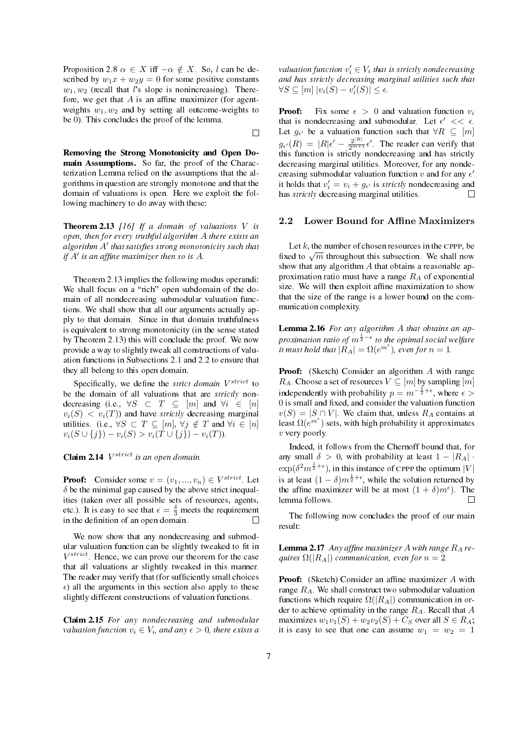Proposition 2.8  $\alpha \in X$  iff  $-\alpha \notin X$ . So, l can be described by  $w_1x + w_2y = 0$  for some positive constants  $w_1, w_2$  (recall that l's slope is nonincreasing). Therefore, we get that  $A$  is an affine maximizer (for agentweights  $w_1, w_2$  and by setting all outcome-weights to be 0). This concludes the proof of the lemma.

 $\Box$ 

Removing the Strong Monotonicity and Open Domain Assumptions. So far, the proof of the Characterization Lemma relied on the assumptions that the algorithms in question are strongly monotone and that the domain of valuations is open. Here we exploit the following machinery to do away with these:

**Theorem 2.13** [16] If a domain of valuations  $V$  is open, then for every truthful algorithm A there exists an algorithm  $A'$  that satisfies strong monotonicity such that if  $A'$  is an affine maximizer then so is  $A$ .

Theorem 2.13 implies the following modus operandi: We shall focus on a "rich" open subdomain of the domain of all nondecreasing submodular valuation functions. We shall show that all our arguments actually apply to that domain. Since in that domain truthfulness is equivalent to strong monotonicity (in the sense stated by Theorem 2.13) this will conclude the proof. We now provide a way to slightly tweak all constructions of valuation functions in Subsections 2.1 and 2.2 to ensure that they all belong to this open domain.

Specifically, we define the *strict domain V<sup>strict</sup>* to be the domain of all valuations that are strictly nondecreasing (i.e.,  $\forall S \subset T \subseteq [m]$  and  $\forall i \in [n]$  $v_i(S) \leq v_i(T)$  and have *strictly* decreasing marginal utilities. (i.e.,  $\forall S \subset T \subseteq [m], \forall j \notin T$  and  $\forall i \in [n]$  $v_i(S \cup \{j\}) - v_i(S) > v_i(T \cup \{j\}) - v_i(T)).$ 

# **Claim 2.14**  $V^{strict}$  is an open domain.

**Proof:** Consider some  $v = (v_1, ..., v_n) \in V^{strict}$ . Let  $\delta$  be the minimal gap caused by the above strict inequalities (taken over all possible sets of resources, agents, etc.). It is easy to see that  $\epsilon = \frac{\delta}{3}$  meets the requirement in the definition of an open domain.

We now show that any nondecreasing and submodular valuation function can be slightly tweaked to fit in  $V^{strict}$  Hence, we can prove our theorem for the case that all valuations ar slightly tweaked in this manner. The reader may verify that (for sufficiently small choices  $\epsilon$ ) all the arguments in this section also apply to these slightly different constructions of valuation functions.

Claim 2.15 For any nondecreasing and submodular valuation function  $v_i \in V_i$ , and any  $\epsilon > 0$ , there exists a

valuation function  $v'_i \in V_i$  that is strictly nondecreasing and has strictly decreasing marginal utilities such that  $\forall S \subseteq [m] |v_i(S) - v'_i(S)| \leq \epsilon.$ 

**Proof:** Fix some  $\epsilon > 0$  and valuation function  $v_i$ that is nondecreasing and submodular. Let  $\epsilon' << \epsilon$ . Let  $g_{\epsilon}$  be a valuation function such that  $\forall R \subseteq [m]$  $g_{\epsilon'}(R) = |R|\epsilon' - \frac{2^{|R|}}{2^{m+1}}\epsilon'.$  The reader can verify that this function is strictly nondecreasing and has strictly decreasing marginal utilities. Moreover, for any nondecreasing submodular valuation function v and for any  $\epsilon'$ it holds that  $v_i' = v_i + g_{\epsilon'}$  is *strictly* nondecreasing and has *strictly* decreasing marginal utilities.  $\Box$ 

#### 2.2 Lower Bound for Affine Maximizers

Let  $k$ , the number of chosen resources in the CPPP, be Let  $\kappa$ , the number of chosen resources in the CPPP, be<br>fixed to  $\sqrt{m}$  throughout this subsection. We shall now show that any algorithm  $A$  that obtains a reasonable approximation ratio must have a range  $R_A$  of exponential size. We will then exploit affine maximization to show that the size of the range is a lower bound on the communication complexity.

Lemma 2.16 For any algorithm A that obtains an approximation ratio of  $m^{\frac{1}{2}-\epsilon}$  to the optimal social welfare it must hold that  $|\overset{\circ}{R_{A}}| = \Omega(e^{m^{\epsilon}})$ , even for  $n = 1$ .

Proof: (Sketch) Consider an algorithm A with range  $R_A$ . Choose a set of resources  $V \subseteq [m]$  by sampling  $[m]$ independently with probability  $p = m^{-\frac{1}{2} + \epsilon}$ , where  $\epsilon >$ 0 is small and fixed, and consider the valuation function  $v(S) = |S \cap V|$ . We claim that, unless  $R_A$  contains at least  $\Omega(e^{m^{\epsilon}})$  sets, with high probability it approximates  $v$  very poorly.

Indeed, it follows from the Chernoff bound that, for any small  $\delta > 0$ , with probability at least  $1 - |R_A|$ .  $\exp(\delta^2 m^{\frac{1}{2}+\epsilon})$ , in this instance of CPPP the optimum  $|V|$ is at least  $(1 - \delta)m^{\frac{1}{2} + \epsilon}$ , while the solution returned by the affine maximizer will be at most  $(1 + \delta)m^{\epsilon}$ ). The lemma follows.  $\Box$ 

The following now concludes the proof of our main result:

**Lemma 2.17** Any affine maximizer A with range  $R_A$  requires  $\Omega(|R_A|)$  communication, even for  $n = 2$ .

**Proof:** (Sketch) Consider an affine maximizer  $A$  with range  $R_A$ . We shall construct two submodular valuation functions which require  $\Omega(|R_A|)$  communication in order to achieve optimality in the range  $R_A$ . Recall that  $A$ maximizes  $w_1v_1(S) + w_2v_2(S) + C_S$  over all  $S \in R_A$ ; it is easy to see that one can assume  $w_1 = w_2 = 1$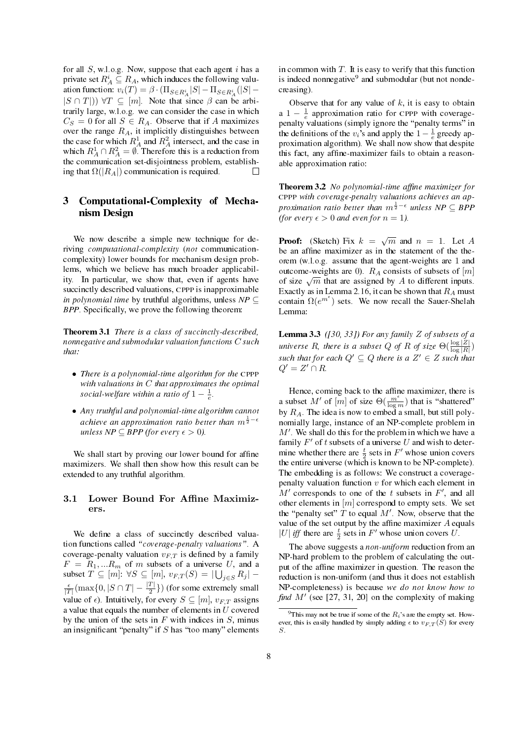for all  $S$ , w.l.o.g. Now, suppose that each agent  $i$  has a private set  $R_A^i \subseteq R_A$ , which induces the following valuation function:  $v_i(T) = \beta \cdot (\prod_{S \in R_A^i} |S| - \prod_{S \in R_A^i} (|S| |S \cap T|$ ))  $\forall T \subseteq [m]$ . Note that since  $\beta$  can be arbitrarily large, w.l.o.g. we can consider the case in which  $C_S = 0$  for all  $S \in R_A$ . Observe that if A maximizes over the range  $R_A$ , it implicitly distinguishes between the case for which  $R_A^1$  and  $R_A^2$  intersect, and the case in which  $R_A^1 \cap R_A^2 = \emptyset$ . Therefore this is a reduction from the communication set-disjointness problem, establishing that  $\Omega(|R_A|)$  communication is required.

# 3 Computational-Complexity of Mechanism Design

We now describe a simple new technique for deriving computational-complexity (not communicationcomplexity) lower bounds for mechanism design problems, which we believe has much broader applicability. In particular, we show that, even if agents have succinctly described valuations, CPPP is inapproximable *in polynomial time* by truthful algorithms, unless  $NP \subseteq$ BPP. Specifically, we prove the following theorem:

Theorem 3.1 There is a class of succinctly-described, nonnegative and submodular valuation functions  $C$  such that:

- There is a polynomial-time algorithm for the CPPP with valuations in  $C$  that approximates the optimal social-welfare within a ratio of  $1-\frac{1}{e}$ .
- Any truthful and polynomial-time algorithm cannot achieve an approximation ratio better than  $m^{\frac{1}{2}-\epsilon}$ unless  $NP \subseteq BPP$  (for every  $\epsilon > 0$ ).

We shall start by proving our lower bound for affine maximizers. We shall then show how this result can be extended to any truthful algorithm.

### 3.1 Lower Bound For Affine Maximizers.

We define a class of succinctly described valuation functions called "coverage-penalty valuations". A coverage-penalty valuation  $v_{F,T}$  is defined by a family  $F = R_1, ... R_m$  of m subsets of a universe U, and a subset  $T \subseteq [m]$ :  $\forall S \subseteq [m]$ ,  $v_{F,T}(S) = |\bigcup_{j \in S} R_j|$  –  $\frac{\epsilon}{|T|}(\max\{0, |S \cap T| - \frac{|T|}{2}\})$  (for some extremely small value of  $\epsilon$ ). Intuitively, for every  $S \subseteq [m]$ ,  $v_{F,T}$  assigns a value that equals the number of elements in  $U$  covered by the union of the sets in  $F$  with indices in  $S$ , minus an insignificant "penalty" if  $S$  has "too many" elements

in common with  $T$ . It is easy to verify that this function is indeed nonnegative<sup>9</sup> and submodular (but not nondecreasing).

Observe that for any value of  $k$ , it is easy to obtain a  $1 - \frac{1}{e}$  approximation ratio for CPPP with coveragepenalty valuations (simply ignore the "penalty terms" in the definitions of the  $v_i$ 's and apply the  $1 - \frac{1}{e}$  greedy approximation algorithm). We shall now show that despite this fact, any affine-maximizer fails to obtain a reasonable approximation ratio:

**Theorem 3.2** No polynomial-time affine maximizer for CPPP with coverage-penalty valuations achieves an approximation ratio better than  $m^{\frac{1}{2}-\epsilon}$  unless NP  $\subseteq$  BPP (for every  $\epsilon > 0$  and even for  $n = 1$ ).

**Proof:** (Sketch) Fix  $k = \sqrt{m}$  and  $n = 1$ . Let A be an affine maximizer as in the statement of the theorem (w.l.o.g. assume that the agent-weights are 1 and outcome-weights are 0).  $R_A$  consists of subsets of  $[m]$ of size  $\sqrt{m}$  that are assigned by A to different inputs. Exactly as in Lemma 2.16, it can be shown that  $R_A$  must contain  $\Omega(e^{m^{\epsilon}})$  sets. We now recall the Sauer-Shelah Lemma:

**Lemma 3.3** ([30, 33]) For any family  $Z$  of subsets of a universe R, there is a subset Q of R of size  $\Theta(\frac{\log|Z|}{\log|R})$ such that for each  $Q' \subseteq Q$  there is a  $Z' \in Z$  such that  $Q'=Z'\cap R$ .

Hence, coming back to the affine maximizer, there is a subset  $M'$  of  $[m]$  of size  $\Theta(\frac{m^{\epsilon}}{\log m})$  that is "shattered" by  $R_A$ . The idea is now to embed a small, but still polynomially large, instance of an NP-complete problem in  $M'$ . We shall do this for the problem in which we have a family  $F'$  of t subsets of a universe U and wish to determine whether there are  $\frac{t}{2}$  sets in  $F'$  whose union covers the entire universe (which is known to be NP-complete). The embedding is as follows: We construct a coveragepenalty valuation function  $v$  for which each element in  $M'$  corresponds to one of the t subsets in  $F'$ , and all other elements in  $[m]$  correspond to empty sets. We set the "penalty set"  $\hat{T}$  to equal  $M'$ . Now, observe that the value of the set output by the affine maximizer  $A$  equals |U| iff there are  $\frac{t}{2}$  sets in F' whose union covers U.

The above suggests a non-uniform reduction from an NP-hard problem to the problem of calculating the output of the affine maximizer in question. The reason the reduction is non-uniform (and thus it does not establish NP-completeness) is because we do not know how to find  $M'$  (see [27, 31, 20] on the complexity of making

<sup>&</sup>lt;sup>9</sup>This may not be true if some of the  $R_i$ 's are the empty set. However, this is easily handled by simply adding  $\epsilon$  to  $v_{F,T}(S)$  for every S.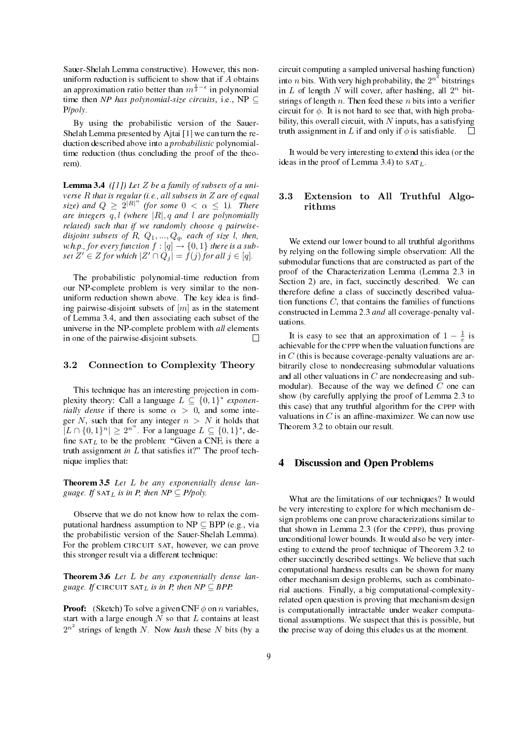Sauer-Shelah Lemma constructive). However, this nonuniform reduction is sufficient to show that if  $A$  obtains an approximation ratio better than  $m^{\frac{1}{2}-\epsilon}$  in polynomial time then NP has polynomial-size circuits, i.e., NP  $\subseteq$ P/poly.

By using the probabilistic version of the Sauer-Shelah Lemma presented by Ajtai [1] we can turn the reduction described above into a probabilistic polynomialtime reduction (thus concluding the proof of the theorem).

**Lemma 3.4** ([1]) Let Z be a family of subsets of a universe  $R$  that is regular (i.e., all subsets in  $Z$  are of equal size) and  $Q \geq 2^{|R|^{\alpha}}$  (for some  $0 < \alpha \leq 1$ ). There are integers  $q, l$  (where  $|R|, q$  and  $l$  are polynomially related) such that if we randomly choose q pairwisedisjoint subsets of R,  $Q_1, ..., Q_q$ , each of size l, then, w.h.p., for every function  $f:[q]\rightarrow \{0,1\}$  there is a subset  $Z' \in Z$  for which  $|Z' \cap Q_j| = f(j)$  for all  $j \in [q]$ .

The probabilistic polynomial-time reduction from our NP-complete problem is very similar to the nonuniform reduction shown above. The key idea is finding pairwise-disjoint subsets of  $[m]$  as in the statement of Lemma 3.4, and then associating each subset of the universe in the NP-complete problem with all elements in one of the pairwise-disjoint subsets.  $\Box$ 

### 3.2 Connection to Complexity Theory

This technique has an interesting projection in complexity theory: Call a language  $L \subseteq \{0,1\}^*$  exponentially dense if there is some  $\alpha > 0$ , and some integer N, such that for any integer  $n > N$  it holds that  $|L \cap \{0,1\}^n| \geq 2^{n^{\alpha}}$ . For a language  $L \subseteq \{0,1\}^*$ , define  $SAT<sub>L</sub>$  to be the problem: "Given a CNF, is there a truth assignment in  $L$  that satisfies it?" The proof technique implies that:

**Theorem 3.5** Let  $L$  be any exponentially dense language. If  $\text{SAT}_L$  is in P, then  $NP \subseteq P/poly$ .

Observe that we do not know how to relax the computational hardness assumption to  $NP \subseteq BPP$  (e.g., via the probabilistic version of the Sauer-Shelah Lemma). For the problem CIRCUIT SAT, however, we can prove this stronger result via a different technique:

Theorem 3.6 Let  $L$  be any exponentially dense language. If CIRCUIT SAT<sub>L</sub> is in P, then  $NP \subseteq BPP$ .

**Proof:** (Sketch) To solve a given CNF  $\phi$  on *n* variables, start with a large enough  $N$  so that  $L$  contains at least  $2^{n^2}$  strings of length N. Now hash these N bits (by a

circuit computing a sampled universal hashing function) into *n* bits. With very high probability, the  $2^{n^2}$  bitstrings in  $L$  of length  $N$  will cover, after hashing, all  $2^n$  bitstrings of length n. Then feed these n bits into a verifier circuit for  $\phi$ . It is not hard to see that, with high probability, this overall circuit, with  $N$  inputs, has a satisfying  $\Box$ truth assignment in L if and only if  $\phi$  is satisfiable.

It would be very interesting to extend this idea (or the ideas in the proof of Lemma 3.4) to  $SAT<sub>L</sub>$ .

### 3.3 Extension to All Truthful Algorithms

We extend our lower bound to all truthful algorithms by relying on the following simple observation: All the submodular functions that are constructed as part of the proof of the Characterization Lemma (Lemma 2.3 in Section 2) are, in fact, succinctly described. We can therefore define a class of succinctly described valuation functions  $C$ , that contains the families of functions constructed in Lemma 2.3 and all coverage-penalty valuations.

It is easy to see that an approximation of  $1 - \frac{1}{e}$  is achievable for the CPPP when the valuation functions are in  $C$  (this is because coverage-penalty valuations are arbitrarily close to nondecreasing submodular valuations and all other valuations in  $C$  are nondecreasing and submodular). Because of the way we defined C one can show (by carefully applying the proof of Lemma 2.3 to this case) that any truthful algorithm for the CPPP with valuations in  $C$  is an affine-maximizer. We can now use Theorem 3.2 to obtain our result.

#### 4 Discussion and Open Problems

What are the limitations of our techniques? It would be very interesting to explore for which mechanism design problems one can prove characterizations similar to that shown in Lemma 2.3 (for the CPPP), thus proving unconditional lower bounds. It would also be very interesting to extend the proof technique of Theorem 3.2 to other succinctly described settings. We believe that such computational hardness results can be shown for many other mechanism design problems, such as combinatorial auctions. Finally, a big computational-complexityrelated open question is proving that mechanism design is computationally intractable under weaker computational assumptions. We suspect that this is possible, but the precise way of doing this eludes us at the moment.